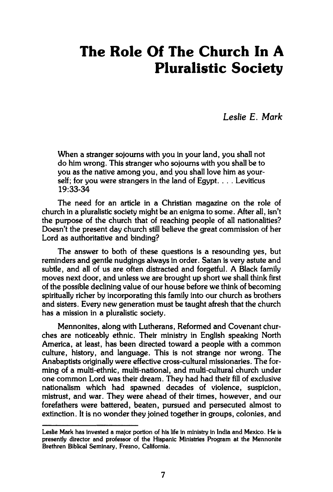## **The Role Of The Church In A Pluralistic Society**

*Leslie E. Mark* 

**When a stranger sojourns with you in your land, you shall not do him wrong. This stranger who sojourns with you shall be to you as the native among you, and you shall love him as yourself; for you were strangers in the land of Egypt. . . . Leviticus 19:33-34** 

**The need for an article in a Christian magazine on the role of church in a pluralistic society might be an enigma to some. After all, isn't the purpose of the church that of reaching people of all nationalities? Doesn't the present day church still believe the great commission of her Lord as authoritative and binding?** 

**The answer to both of these questions is a resounding yes, but reminders and gentle nudgings always in order. Satan is very astute and subtle, and all of us are often distracted and forgetful. A Black family moves next door, and unless we are brought up short we shall think first of the possible declining value of our house before we think of becoming spiritually richer by incorporating this family into our church as brothers and sisters. Every new generation must be taught afresh that the church has a mission in a pluralistic society.** 

**Mennonites, along with Lutherans, Reformed and Covenant churches are noticeably ethnic. Their ministry in English speaking North America, at least, has been directed toward a people with a common culture, history, and language. This is not strange nor wrong. The Anabaptists originally were effective cross-cultural missionaries. The forming of a multi-ethnic, multi-national, and multi-cultural church under one common Lord was their dream. They had had their fill of exclusive nationalism which had spawned decades of violence, suspicion, mistrust, and war. They were ahead of their times, however, and our forefathers were battered, beaten, pursued and persecuted almost to extinction. It is no wonder they joined together in groups, colonies, and** 

**Leslie Mark has invested a major portion of his life in ministry in India and Mexico. He is presently director and professor of the Hispanic Ministries Program at the Mennonite Brethren Biblical Seminary, Fresno, California.**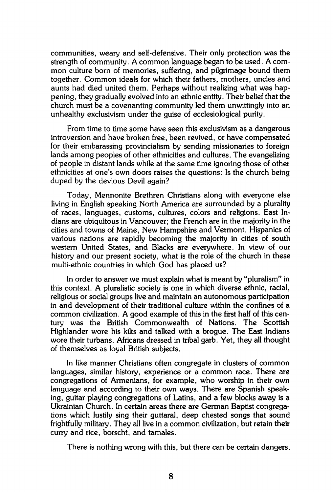**communities, weary and self-defensive. Their only protection was the strength of community. A common language began to be used. A common culture born of memories, suffering, and pilgrimage bound them together. Common ideals for which their fathers, mothers, uncles and aunts had died united them. Perhaps without realizing what was happening, they gradually evolved into an ethnic entity. Their belief that the church must be a covenanting community led them unwittingly into an unhealthy exclusivism under the guise of ecclesiological purity.** 

**From time to time some have seen this exclusivism as a dangerous introversion and have broken free, been revived, or have compensated for their embarassing provincialism by sending missionaries to foreign lands among peoples of other ethnicities and cultures. The evangelizing of people in distant lands while at the same time ignoring those of other ethnicities at one's own doors raises the questions: Is the church being duped by the devious Devil again?** 

**Today, Mennonite Brethren Christians along with everyone else living in English speaking North America are surrounded by a plurality of races, languages, customs, cultures, colors and religions. East Indians are ubiquitous in Vancouver; the French are in the majority in the cities and towns of Maine, New Hampshire and Vermont. Hispanics of various nations are rapidly becoming the majority in cities of south western United States, and Blacks are everywhere. In view of our history and our present society, what is the role of the church in these multi-ethnic countries in which God has placed us?** 

**In order to answer we must explain what is meant by "pluralism" in this context. A pluralistic society is one in which diverse ethnic, racial, religious or social groups live and maintain an autonomous participation in and development of their traditional culture within the confines of a common civilization. A good example of this in the first half of this century was the British Commonwealth of Nations. The Scottish Highlander wore his kilts and talked with a brogue. The East Indians wore their turbans. Africans dressed in tribal garb. Yet, they all thought of themselves as loyal British subjects.** 

**In like manner Christians often congregate in clusters of common languages, similar history, experience or a common race. There are congregations of Armenians, for example, who worship in their own language and according to their own ways. There are Spanish speaking, guitar playing congregations of Latins, and a few blocks away is a Ukrainian Church. In certain areas there are German Baptist congregations which lustily sing their guttaral, deep chested songs that sound frightfully military. They all live in a common civilization, but retain their curry and rice, borscht, and tamales.** 

**There is nothing wrong with this, but there can be certain dangers.**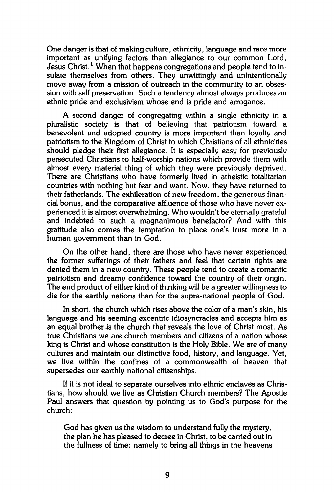**One danger is that of making culture, ethnicity, language and race more important as unifying factors than allegiance to our common Lord, Jesus Christ.<sup>1</sup> When that happens congregations and people tend to insulate themselves from others. They unwittingly and unintentionally move away from a mission of outreach in the community to an obsession with self preservation. Such a tendency almost always produces an ethnic pride and exclusivism whose end is pride and arrogance.** 

**A second danger of congregating within a single ethnicity in a pluralistic society is that of believing that patriotism toward a benevolent and adopted country is more important than loyalty and patriotism to the Kingdom of Christ to which Christians of all ethnicities should pledge their first allegiance. It is especially easy for previously persecuted Christians to half-worship nations which provide them with almost every material thing of which they were previously deprived. There are Christians who have formerly lived in atheistic totalitarian countries with nothing but fear and want. Now, they have returned to their fatherlands. The exhileration of new freedom, the generous financial bonus, and the comparative affluence of those who have never experienced it is almost overwhelming. Who wouldn't be eternally grateful and indebted to such a magnanimous benefactor? And with this gratitude also comes the temptation to place one's trust more in a human government than in God.** 

**On the other hand, there are those who have never experienced the former sufferings of their fathers and feel that certain rights are denied them in a new country. These people tend to create a romantic patriotism and dreamy confidence toward the country of their origin. The end product of either kind of thinking will be a greater willingness to die for the earthly nations than for the supra-national people of God.** 

**In short, the church which rises above the color of a man's skin, his language and his seeming excentric idiosyncracies and accepts him as an equal brother is the church that reveals the love of Christ most. As true Christians we are church members and citizens of a nation whose king is Christ and whose constitution is the Holy Bible. We are of many cultures and maintain our distinctive food, history, and language. Yet, we live within the confines of a commonwealth of heaven that supersedes our earthly national citizenships.** 

**If it is not ideal to separate ourselves into ethnic enclaves as Christians, how should we live as Christian Church members? The Apostle Paul answers that question by pointing us to God's purpose for the church:** 

**God has given us the wisdom to understand fully the mystery, the plan he has pleased to decree in Christ, to be carried out in the fullness of time: namely to bring all things in the heavens**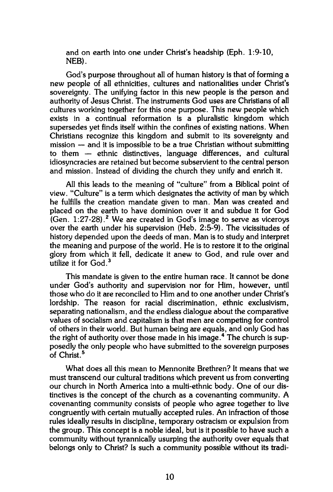**and on earth into one under Christ's headship (Eph. 1:9-10, NEB).** 

**God's purpose throughout all of human history is that of forming a new people of all ethnicities, cultures and nationalities under Christ's sovereignty. The unifying factor in this new people is the person and authority of Jesus Christ. The instruments God uses are Christians of all cultures working together for this one purpose. This new people which exists in a continual reformation is a pluralistic kingdom which supersedes yet finds itself within the confines of existing nations. When Christians recognize this kingdom and submit to its sovereignty and mission — and it is impossible to be a true Christian without submitting to them — ethnic distinctives, language differences, and cultural idiosyncracies are retained but become subservient to the central person and mission. Instead of dividing the church they unify and enrich it.** 

**All this leads to the meaning of "culture" from a Biblical point of view. "Culture" is a term which designates the activity of man by which he fulfills the creation mandate given to man. Man was created and placed on the earth to have dominion over it and subdue it for God (Gen. 1:27-28).<sup>2</sup> We are created in God's image to serve as viceroys over the earth under his supervision (Heb. 2:5-9). The vicissitudes of history depended upon the deeds of man. Man is to study and interpret the meaning and purpose of the world. He is to restore it to the original glory from which it fell, dedicate it anew to God, and rule over and utilize it for God.<sup>3</sup>**

**This mandate is given to the entire human race. It cannot be done under God's authority and supervision nor for Him, however, until those who do it are reconciled to Him and to one another under Christ's lordship. The reason for racial discrimination, ethnic exclusivism, separating nationalism, and the endless dialogue about the comparative values of socialism and capitalism is that men are competing for control of others in their world. But human being are equals, and only God has the right of authority over those made in his image.<sup>4</sup> The church is supposedly the only people who have submitted to the sovereign purposes of Christ.<sup>5</sup>**

**What does all this mean to Mennonite Brethren? It means that we must transcend our cultural traditions which prevent us from converting our church in North America into a multi-ethnic body. One of our distinctives is the concept of the church as a covenanting community. A covenanting community consists of people who agree together to live congruently with certain mutually accepted rules. An infraction of those rules ideally results in discipline, temporary ostracism or expulsion from the group. This concept is a noble ideal, but is it possible to have such a community without tyrannically usurping the authority over equals that belongs only to Christ? Is such a community possible without its tradi-**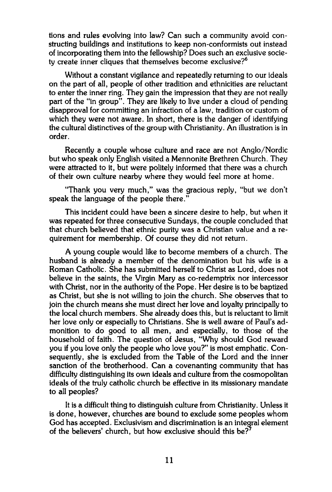**tions and rules evolving into law? Can such a community avoid constructing buildings and institutions to keep non-conformists out instead of incorporating them into the fellowship? Does such an exclusive society create inner cliques that themselves become exclusive?<sup>6</sup>**

**Without a constant vigilance and repeatedly returning to our ideals on the part of all, people of other tradition and ethnicities are reluctant to enter the inner ring. They gain the impression that they are not really part of the "in group". They are likely to live under a cloud of pending disapproval for committing an infraction of a law, tradition or custom of which they were not aware. In short, there is the danger of identifying the cultural distinctives of the group with Christianity. An illustration is in order.** 

**Recently a couple whose culture and race are not Anglo/Nordic but who speak only English visited a Mennonite Brethren Church. They were attracted to it, but were politely informed that there was a church of their own culture nearby where they would feel more at home.** 

**"Thank you very much," was the gracious reply, "but we don't speak the language of the people there."** 

**This incident could have been a sincere desire to help, but when it was repeated for three consecutive Sundays, the couple concluded that that church believed that ethnic purity was a Christian value and a requirement for membership. Of course they did not return.** 

**A young couple would like to become members of a church. The husband is already a member of the denomination but his wife is a Roman Catholic. She has submitted herself to Christ as Lord, does not believe in the saints, the Virgin Mary as co-redemptrix nor intercessor with Christ, nor in the authority of the Pope. Her desire is to be baptized as Christ, but she is not willing to join the church. She observes that to join the church means she must direct her love and loyalty principally to the local church members. She already does this, but is reluctant to limit her love only or especially to Christians. She is well aware of Paul's admonition to do good to all men, and especially, to those of the household of faith. The question of Jesus, "Why should God reward you if you love only the people who love you?" is most emphatic. Consequently, she is excluded from the Table of the Lord and the inner sanction of the brotherhood. Can a covenanting community that has difficulty distinguishing its own ideals and culture from the cosmopolitan ideals of the truly catholic church be effective in its missionary mandate to all peoples?** 

**It is a difficult thing to distinguish culture from Christianity. Unless it is done, however, churches are bound to exclude some peoples whom God has accepted. Exclusivism and discrimination is an integral element of the believers' church, but how exclusive should this be?<sup>7</sup>**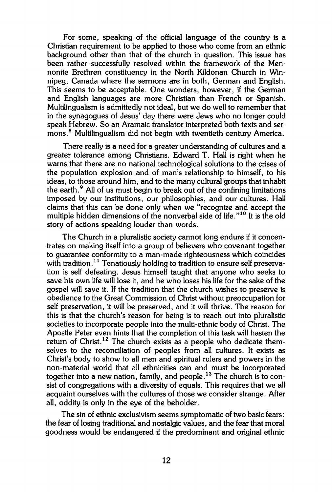**For some, speaking of the official language of the country is a Christian requirement to be applied to those who come from an ethnic background other than that of the church in question. This issue has been rather successfully resolved within the framework of the Mennonite Brethren constituency in the North Kildonan Church in Winnipeg, Canada where the sermons are in both, German and English. This seems to be acceptable. One wonders, however, if the German and English languages are more Christian than French or Spanish. Multilingualism is admittedly not ideal, but we do well to remember that in the synagogues of Jesus' day there were Jews who no longer could speak Hebrew. So an Aramaic translator interpreted both texts and sermons.<sup>8</sup> Multilingualism did not begin with twentieth century America.** 

**There really is a need for a greater understanding of cultures and a greater tolerance among Christians. Edward T. Hall is right when he warns that there are no national technological solutions to the crises of the population explosion and of man's relationship to himself, to his ideas, to those around him, and to the many cultural groups that inhabit the earth.<sup>9</sup> All of us must begin to break out of the confining limitations imposed by our institutions, our philosophies, and our cultures. Hall claims that this can be done only when we "recognize and accept the multiple hidden dimensions of the nonverbal side of life."<sup>10</sup> It is the old story of actions speaking louder than words.** 

**The Church in a pluralistic society cannot long endure if it concentrates on making itself into a group of believers who covenant together to guarantee conformity to a man-made righteousness which coincides with tradition.<sup>11</sup> Tenatiously holding to tradition to ensure self preservation is self defeating. Jesus himself taught that anyone who seeks to save his own life will lose it, and he who loses his life for the sake of the gospel will save it. If the tradition that the church wishes to preserve is obedience to the Great Commission of Christ without preoccupation for self preservation, it will be preserved, and it will thrive. The reason for this is that the church's reason for being is to reach out into pluralistic societies to incorporate people into the multi-ethnic body of Christ. The Apostle Peter even hints that the completion of this task will hasten the return of Christ.<sup>12</sup> The church exists as a people who dedicate themselves to the reconciliation of peoples from all cultures. It exists as Christ's body to show to all men and spiritual rulers and powers in the non-material world that all ethnicities can and must be incorporated together into a new nation, family, and people.<sup>13</sup> The church is to consist of congregations with a diversity of equals. This requires that we all acquaint ourselves with the cultures of those we consider strange. After all, oddity is only in the eye of the beholder.** 

**The sin of ethnic exclusivism seems symptomatic of two basic fears: the fear of losing traditional and nostalgic values, and the fear that moral goodness would be endangered if the predominant and original ethnic**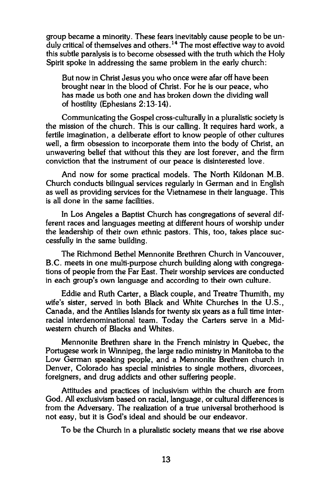**group became a minority. These fears inevitably cause people to be unduly critical of themselves and others.<sup>14</sup> The most effective way to avoid this subtle paralysis is to become obsessed with the truth which the Holy Spirit spoke in addressing the same problem in the early church:** 

**But now in Christ Jesus you who once were afar off have been brought near in the blood of Christ. For he is our peace, who has made us both one and has broken down the dividing wall of hostility (Ephesians 2:13-14).** 

**Communicating the Gospel cross-culturally in a pluralistic society is the mission of the church. This is our calling. It requires hard work, a fertile imagination, a deliberate effort to know people of other cultures well, a firm obsession to incorporate them into the body of Christ, an unwavering belief that without this they are lost forever, and the firm conviction that the instrument of our peace is disinterested love.** 

**And now for some practical models. The North Kildonan M.B. Church conducts bilingual services regularly in German and in English as well as providing services for the Vietnamese in their language. This is all done in the same facilities.** 

**In Los Angeles a Baptist Church has congregations of several different races and languages meeting at different hours of worship under the leadership of their own ethnic pastors. This, too, takes place successfully in the same building.** 

**The Richmond Bethel Mennonite Brethren Church in Vancouver, B.C. meets in one multi-purpose church building along with congregations of people from the Far East. Their worship services are conducted in each group's own language and according to their own culture.** 

**Eddie and Ruth Carter, a Black couple, and Treatre Thumith, my wife's sister, served in both Black and White Churches in the U.S., Canada, and the Antilies Islands for twenty six years as a full time interracial interdenominational team. Today the Carters serve in a Midwestern church of Blacks and Whites.** 

**Mennonite Brethren share in the French ministry in Quebec, the Portugese work in Winnipeg, the large radio ministry in Manitoba to the Low German speaking people, and a Mennonite Brethren church in Denver, Colorado has special ministries to single mothers, divorcees, foreigners, and drug addicts and other suffering people.** 

**Attitudes and practices of inclusivism within the church are from God. All exclusivism based on racial, language, or cultural differences is from the Adversary. The realization of a true universal brotherhood is not easy, but it is God's ideal and should be our endeavor.** 

**To be the Church in a pluralistic society means that we rise above**